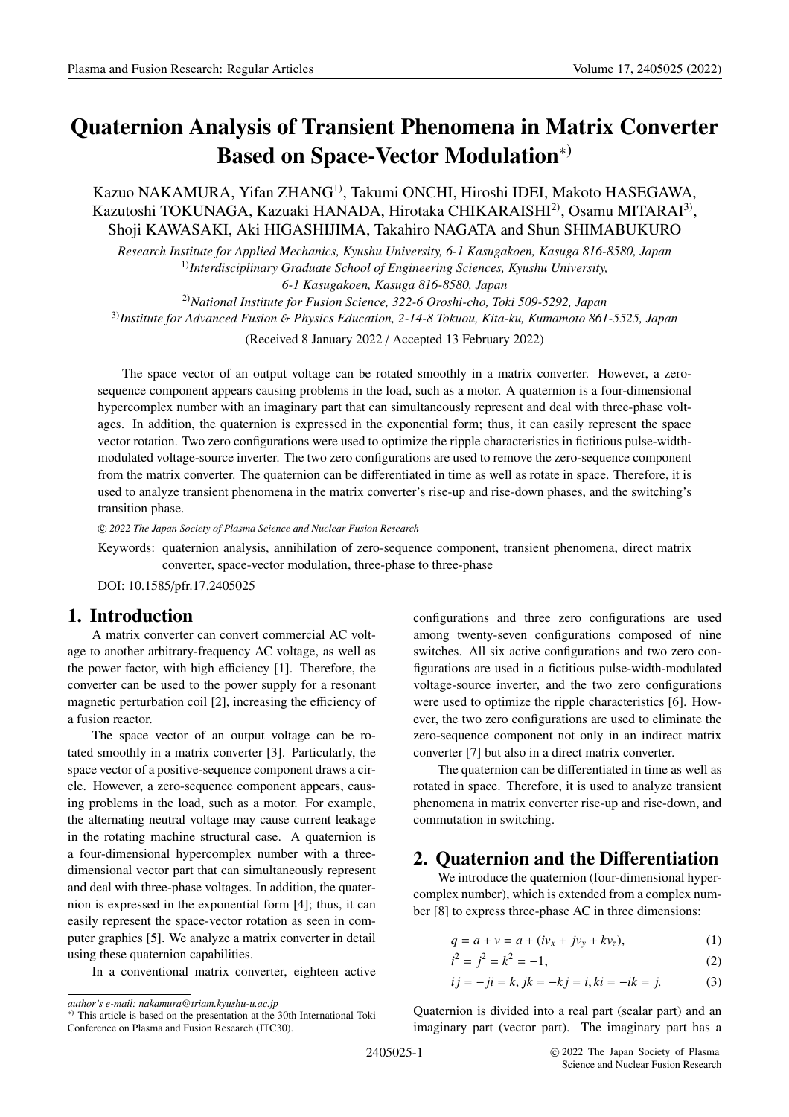# **Quaternion Analysis of Transient Phenomena in Matrix Converter Based on Space-Vector Modulation**<sup>∗</sup>)

#### Kazuo NAKAMURA, Yifan ZHANG<sup>1)</sup>, Takumi ONCHI, Hiroshi IDEI, Makoto HASEGAWA, Kazutoshi TOKUNAGA, Kazuaki HANADA, Hirotaka CHIKARAISHI<sup>2)</sup>, Osamu MITARAI<sup>3)</sup>, Shoji KAWASAKI, Aki HIGASHIJIMA, Takahiro NAGATA and Shun SHIMABUKURO

*Research Institute for Applied Mechanics, Kyushu University, 6-1 Kasugakoen, Kasuga 816-8580, Japan* 1)*Interdisciplinary Graduate School of Engineering Sciences, Kyushu University, 6-1 Kasugakoen, Kasuga 816-8580, Japan*

2)*National Institute for Fusion Science, 322-6 Oroshi-cho, Toki 509-5292, Japan* 3)*Institute for Advanced Fusion* & *Physics Education, 2-14-8 Tokuou, Kita-ku, Kumamoto 861-5525, Japan* (Received 8 January 2022 / Accepted 13 February 2022)

The space vector of an output voltage can be rotated smoothly in a matrix converter. However, a zerosequence component appears causing problems in the load, such as a motor. A quaternion is a four-dimensional hypercomplex number with an imaginary part that can simultaneously represent and deal with three-phase voltages. In addition, the quaternion is expressed in the exponential form; thus, it can easily represent the space vector rotation. Two zero configurations were used to optimize the ripple characteristics in fictitious pulse-widthmodulated voltage-source inverter. The two zero configurations are used to remove the zero-sequence component from the matrix converter. The quaternion can be differentiated in time as well as rotate in space. Therefore, it is used to analyze transient phenomena in the matrix converter's rise-up and rise-down phases, and the switching's transition phase.

c *2022 The Japan Society of Plasma Science and Nuclear Fusion Research*

Keywords: quaternion analysis, annihilation of zero-sequence component, transient phenomena, direct matrix converter, space-vector modulation, three-phase to three-phase

DOI: 10.1585/pfr.17.2405025

#### **1. Introduction**

A matrix converter can convert commercial AC voltage to another arbitrary-frequency AC voltage, as well as the power factor, with high efficiency [1]. Therefore, the converter can be used to the power supply for a resonant magnetic perturbation coil [2], increasing the efficiency of a fusion reactor.

The space vector of an output voltage can be rotated smoothly in a matrix converter [3]. Particularly, the space vector of a positive-sequence component draws a circle. However, a zero-sequence component appears, causing problems in the load, such as a motor. For example, the alternating neutral voltage may cause current leakage in the rotating machine structural case. A quaternion is a four-dimensional hypercomplex number with a threedimensional vector part that can simultaneously represent and deal with three-phase voltages. In addition, the quaternion is expressed in the exponential form [4]; thus, it can easily represent the space-vector rotation as seen in computer graphics [5]. We analyze a matrix converter in detail using these quaternion capabilities.

In a conventional matrix converter, eighteen active

configurations and three zero configurations are used among twenty-seven configurations composed of nine switches. All six active configurations and two zero configurations are used in a fictitious pulse-width-modulated voltage-source inverter, and the two zero configurations were used to optimize the ripple characteristics [6]. However, the two zero configurations are used to eliminate the zero-sequence component not only in an indirect matrix converter [7] but also in a direct matrix converter.

The quaternion can be differentiated in time as well as rotated in space. Therefore, it is used to analyze transient phenomena in matrix converter rise-up and rise-down, and commutation in switching.

#### **2. Quaternion and the Di**ff**erentiation**

We introduce the quaternion (four-dimensional hypercomplex number), which is extended from a complex number [8] to express three-phase AC in three dimensions:

$$
q = a + v = a + (iv_x + jv_y + kv_z),
$$
 (1)

$$
i^2 = j^2 = k^2 = -1,\t\t(2)
$$

$$
ij = -ji = k
$$
,  $jk = -kj = i$ ,  $ki = -ik = j$ . (3)

Quaternion is divided into a real part (scalar part) and an imaginary part (vector part). The imaginary part has a

*author's e-mail: nakamura@triam.kyushu-u.ac.jp*

<sup>∗</sup>) This article is based on the presentation at the 30th International Toki Conference on Plasma and Fusion Research (ITC30).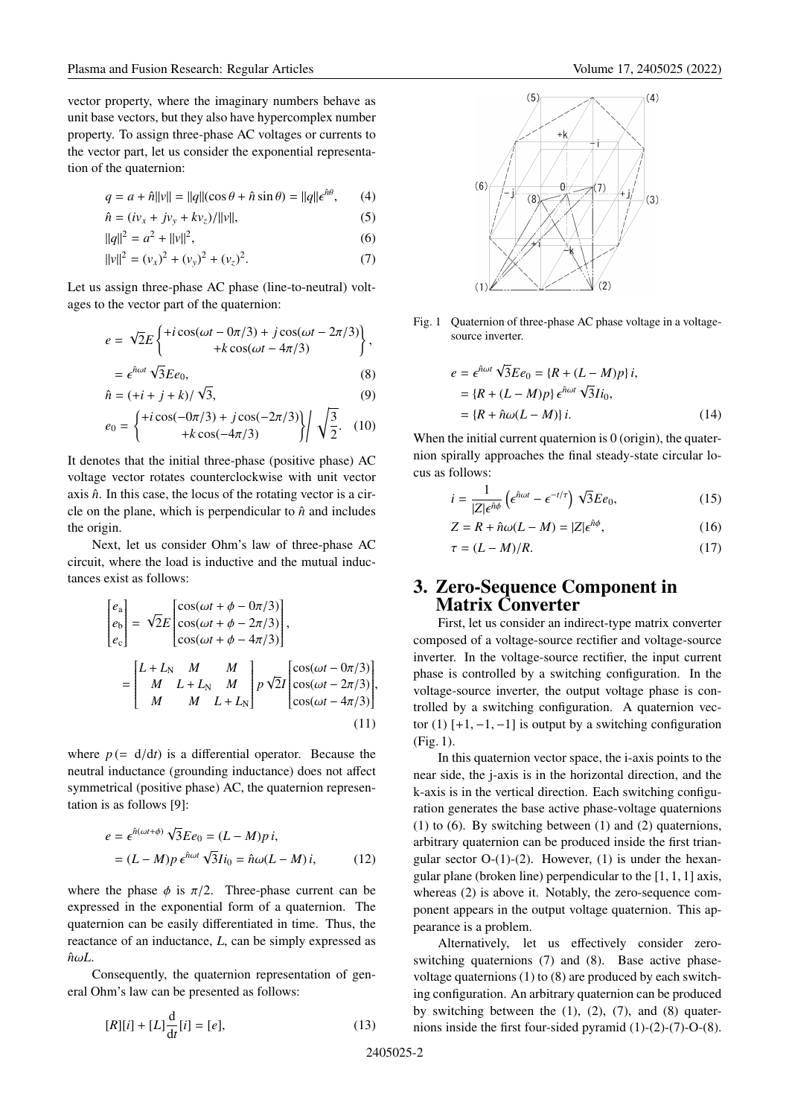vector property, where the imaginary numbers behave as unit base vectors, but they also have hypercomplex number property. To assign three-phase AC voltages or currents to the vector part, let us consider the exponential representation of the quaternion:

$$
q = a + \hat{n}||v|| = ||q||(\cos \theta + \hat{n} \sin \theta) = ||q||\epsilon^{\hat{n}\theta}, \qquad (4)
$$

$$
\hat{n} = (iv_x + jv_y + kv_z)/||v||,
$$
\n(5)

$$
||q||^2 = a^2 + ||v||^2,\tag{6}
$$

$$
||v||^2 = (v_x)^2 + (v_y)^2 + (v_z)^2.
$$
 (7)

Let us assign three-phase AC phase (line-to-neutral) voltages to the vector part of the quaternion:

$$
e = \sqrt{2}E\left\{\begin{matrix}+i\cos(\omega t - 0\pi/3) + j\cos(\omega t - 2\pi/3)\\+k\cos(\omega t - 4\pi/3)\end{matrix}\right\},\right
$$

$$
= \epsilon^{\hat{n}\omega t} \sqrt{3} E e_0, \tag{8}
$$

$$
\hat{n} = (+i + j + k) / \sqrt{3},\tag{9}
$$

$$
e_0 = \begin{cases} +i\cos(-0\pi/3) + j\cos(-2\pi/3) \\ +k\cos(-4\pi/3) \end{cases} / \sqrt{\frac{3}{2}}. (10)
$$

It denotes that the initial three-phase (positive phase) AC voltage vector rotates counterclockwise with unit vector axis  $\hat{n}$ . In this case, the locus of the rotating vector is a circle on the plane, which is perpendicular to  $\hat{n}$  and includes the origin.

Next, let us consider Ohm's law of three-phase AC circuit, where the load is inductive and the mutual inductances exist as follows:

$$
\begin{bmatrix} e_{\rm a} \\ e_{\rm b} \\ e_{\rm c} \end{bmatrix} = \sqrt{2}E \begin{bmatrix} \cos(\omega t + \phi - 0\pi/3) \\ \cos(\omega t + \phi - 2\pi/3) \\ \cos(\omega t + \phi - 4\pi/3) \end{bmatrix},
$$

$$
= \begin{bmatrix} L + L_{\rm N} & M & M \\ M & L + L_{\rm N} & M & p\sqrt{2}I \\ M & M & L + L_{\rm N} \end{bmatrix} p \sqrt{2}I \begin{bmatrix} \cos(\omega t - 0\pi/3) \\ \cos(\omega t - 2\pi/3) \\ \cos(\omega t - 4\pi/3) \end{bmatrix},
$$
(11)

where  $p = d/dt$  is a differential operator. Because the neutral inductance (grounding inductance) does not affect symmetrical (positive phase) AC, the quaternion representation is as follows [9]:

$$
e = \epsilon^{\hat{n}(\omega t + \phi)} \sqrt{3} E e_0 = (L - M)p i,
$$
  
=  $(L - M)p \epsilon^{\hat{n}\omega t} \sqrt{3} I i_0 = \hat{n}\omega (L - M) i,$  (12)

where the phase  $\phi$  is  $\pi/2$ . Three-phase current can be expressed in the exponential form of a quaternion. The quaternion can be easily differentiated in time. Thus, the reactance of an inductance, *L*, can be simply expressed as  $\hat{n}\omega L$ .

Consequently, the quaternion representation of general Ohm's law can be presented as follows:

$$
[R][i] + [L]\frac{d}{dt}[i] = [e],\tag{13}
$$



Fig. 1 Quaternion of three-phase AC phase voltage in a voltagesource inverter.

$$
e = \epsilon^{\hat{n}\omega t} \sqrt{3} E e_0 = \{R + (L - M)p\} i,
$$
  
=  $\{R + (L - M)p\} \epsilon^{\hat{n}\omega t} \sqrt{3} I i_0,$   
=  $\{R + \hat{n}\omega (L - M)\} i.$  (14)

When the initial current quaternion is 0 (origin), the quaternion spirally approaches the final steady-state circular locus as follows:

$$
i = \frac{1}{|Z|\epsilon^{\hat{n}\phi}} \left(\epsilon^{\hat{n}\omega t} - \epsilon^{-t/\tau}\right) \sqrt{3} E e_0,\tag{15}
$$

$$
Z = R + \hat{n}\omega(L - M) = |Z|\epsilon^{\hat{n}\phi},\tag{16}
$$

$$
\tau = (L - M)/R. \tag{17}
$$

#### **3. Zero-Sequence Component in Matrix Converter**

First, let us consider an indirect-type matrix converter composed of a voltage-source rectifier and voltage-source inverter. In the voltage-source rectifier, the input current phase is controlled by a switching configuration. In the voltage-source inverter, the output voltage phase is controlled by a switching configuration. A quaternion vector (1)  $[+1, -1, -1]$  is output by a switching configuration (Fig. 1).

In this quaternion vector space, the i-axis points to the near side, the j-axis is in the horizontal direction, and the k-axis is in the vertical direction. Each switching configuration generates the base active phase-voltage quaternions (1) to  $(6)$ . By switching between  $(1)$  and  $(2)$  quaternions, arbitrary quaternion can be produced inside the first triangular sector  $O-(1)-(2)$ . However, (1) is under the hexangular plane (broken line) perpendicular to the [1, 1, 1] axis, whereas (2) is above it. Notably, the zero-sequence component appears in the output voltage quaternion. This appearance is a problem.

Alternatively, let us effectively consider zeroswitching quaternions (7) and (8). Base active phasevoltage quaternions (1) to (8) are produced by each switching configuration. An arbitrary quaternion can be produced by switching between the  $(1)$ ,  $(2)$ ,  $(7)$ , and  $(8)$  quaternions inside the first four-sided pyramid (1)-(2)-(7)-O-(8).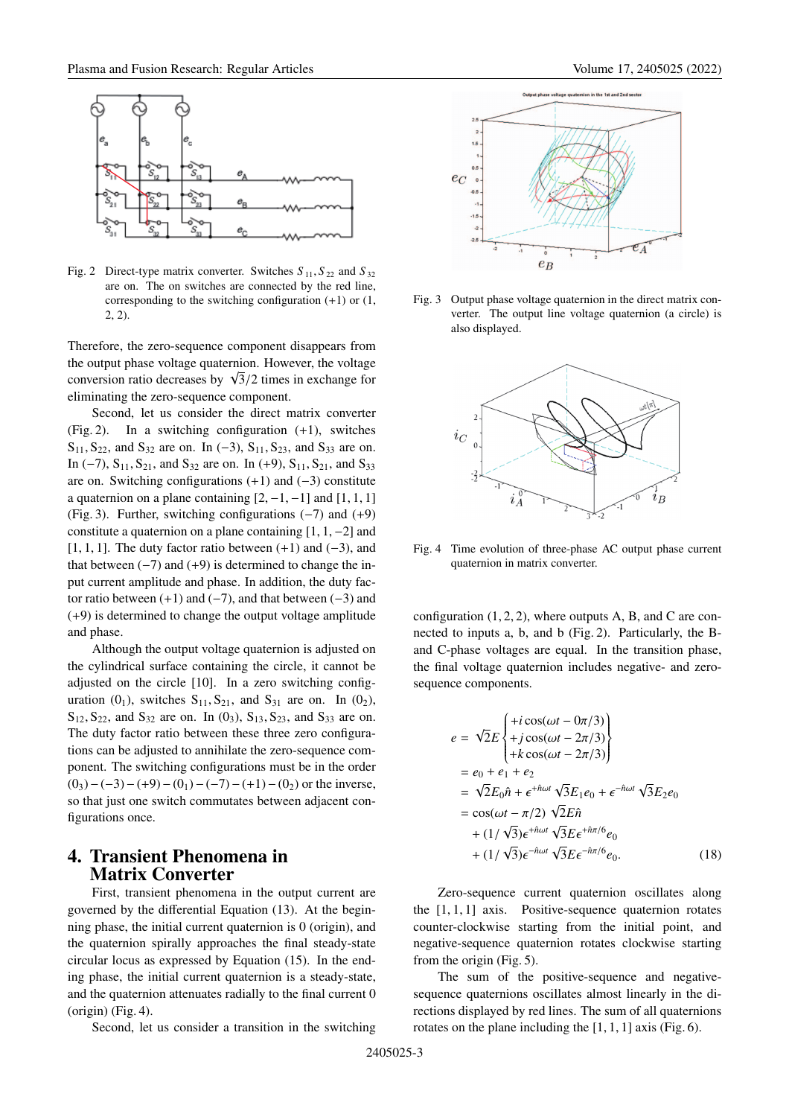

Fig. 2 Direct-type matrix converter. Switches  $S_{11}$ ,  $S_{22}$  and  $S_{32}$ are on. The on switches are connected by the red line, corresponding to the switching configuration  $(+1)$  or  $(1,$ 2, 2).

Therefore, the zero-sequence component disappears from the output phase voltage quaternion. However, the voltage the output phase voltage quaternion. However, the voltage conversion ratio decreases by  $\sqrt{3}/2$  times in exchange for eliminating the zero-sequence component.

Second, let us consider the direct matrix converter (Fig. 2). In a switching configuration (+1), switches  $S_{11}$ ,  $S_{22}$ , and  $S_{32}$  are on. In (-3),  $S_{11}$ ,  $S_{23}$ , and  $S_{33}$  are on. In (-7),  $S_{11}$ ,  $S_{21}$ , and  $S_{32}$  are on. In (+9),  $S_{11}$ ,  $S_{21}$ , and  $S_{33}$ are on. Switching configurations (+1) and (−3) constitute a quaternion on a plane containing  $[2, -1, -1]$  and  $[1, 1, 1]$ (Fig. 3). Further, switching configurations (−7) and (+9) constitute a quaternion on a plane containing  $[1, 1, -2]$  and [1, 1, 1]. The duty factor ratio between  $(+1)$  and  $(-3)$ , and that between  $(-7)$  and  $(+9)$  is determined to change the input current amplitude and phase. In addition, the duty factor ratio between  $(+1)$  and  $(-7)$ , and that between  $(-3)$  and (+9) is determined to change the output voltage amplitude and phase.

Although the output voltage quaternion is adjusted on the cylindrical surface containing the circle, it cannot be adjusted on the circle [10]. In a zero switching configuration  $(0_1)$ , switches  $S_{11}$ ,  $S_{21}$ , and  $S_{31}$  are on. In  $(0_2)$ ,  $S_{12}$ ,  $S_{22}$ , and  $S_{32}$  are on. In (0<sub>3</sub>),  $S_{13}$ ,  $S_{23}$ , and  $S_{33}$  are on. The duty factor ratio between these three zero configurations can be adjusted to annihilate the zero-sequence component. The switching configurations must be in the order  $(0_3)-(-3)-(+9)-(0_1)-(-7)-(+1)-(0_2)$  or the inverse, so that just one switch commutates between adjacent configurations once.

### **4. Transient Phenomena in Matrix Converter**

First, transient phenomena in the output current are governed by the differential Equation (13). At the beginning phase, the initial current quaternion is 0 (origin), and the quaternion spirally approaches the final steady-state circular locus as expressed by Equation (15). In the ending phase, the initial current quaternion is a steady-state, and the quaternion attenuates radially to the final current 0 (origin) (Fig. 4).

Second, let us consider a transition in the switching



Fig. 3 Output phase voltage quaternion in the direct matrix converter. The output line voltage quaternion (a circle) is also displayed.



Fig. 4 Time evolution of three-phase AC output phase current quaternion in matrix converter.

configuration  $(1, 2, 2)$ , where outputs A, B, and C are connected to inputs a, b, and b (Fig. 2). Particularly, the Band C-phase voltages are equal. In the transition phase, the final voltage quaternion includes negative- and zerosequence components.

$$
e = \sqrt{2}E\begin{cases} +i\cos(\omega t - 0\pi/3) \\ +j\cos(\omega t - 2\pi/3) \\ +k\cos(\omega t - 2\pi/3) \end{cases}
$$
  
=  $e_0 + e_1 + e_2$   
=  $\sqrt{2}E_0\hat{n} + \epsilon^{+\hat{n}\omega t} \sqrt{3}E_1e_0 + \epsilon^{-\hat{n}\omega t} \sqrt{3}E_2e_0$   
=  $\cos(\omega t - \pi/2) \sqrt{2}E\hat{n}$   
+  $(1/\sqrt{3})\epsilon^{+\hat{n}\omega t} \sqrt{3}E\epsilon^{+\hat{n}\pi/6}e_0$   
+  $(1/\sqrt{3})\epsilon^{-\hat{n}\omega t} \sqrt{3}E\epsilon^{-\hat{n}\pi/6}e_0$ . (18)

Zero-sequence current quaternion oscillates along the  $[1, 1, 1]$  axis. Positive-sequence quaternion rotates counter-clockwise starting from the initial point, and negative-sequence quaternion rotates clockwise starting from the origin (Fig. 5).

The sum of the positive-sequence and negativesequence quaternions oscillates almost linearly in the directions displayed by red lines. The sum of all quaternions rotates on the plane including the [1, 1, 1] axis (Fig. 6).